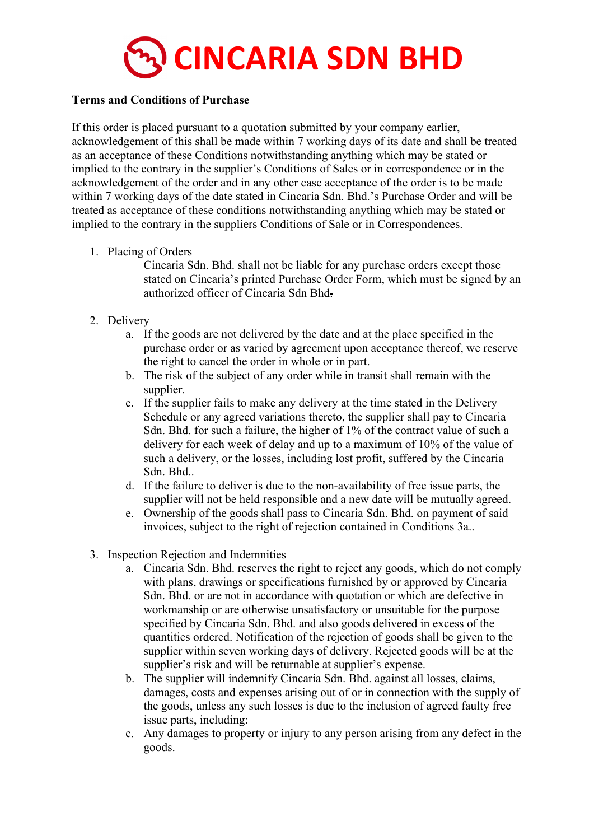

## **Terms and Conditions of Purchase**

If this order is placed pursuant to a quotation submitted by your company earlier, acknowledgement of this shall be made within 7 working days of its date and shall be treated as an acceptance of these Conditions notwithstanding anything which may be stated or implied to the contrary in the supplier's Conditions of Sales or in correspondence or in the acknowledgement of the order and in any other case acceptance of the order is to be made within 7 working days of the date stated in Cincaria Sdn. Bhd.'s Purchase Order and will be treated as acceptance of these conditions notwithstanding anything which may be stated or implied to the contrary in the suppliers Conditions of Sale or in Correspondences.

1. Placing of Orders

Cincaria Sdn. Bhd. shall not be liable for any purchase orders except those stated on Cincaria's printed Purchase Order Form, which must be signed by an authorized officer of Cincaria Sdn Bhd.

- 2. Delivery
	- a. If the goods are not delivered by the date and at the place specified in the purchase order or as varied by agreement upon acceptance thereof, we reserve the right to cancel the order in whole or in part.
	- b. The risk of the subject of any order while in transit shall remain with the supplier.
	- c. If the supplier fails to make any delivery at the time stated in the Delivery Schedule or any agreed variations thereto, the supplier shall pay to Cincaria Sdn. Bhd. for such a failure, the higher of 1% of the contract value of such a delivery for each week of delay and up to a maximum of 10% of the value of such a delivery, or the losses, including lost profit, suffered by the Cincaria Sdn. Bhd..
	- d. If the failure to deliver is due to the non-availability of free issue parts, the supplier will not be held responsible and a new date will be mutually agreed.
	- e. Ownership of the goods shall pass to Cincaria Sdn. Bhd. on payment of said invoices, subject to the right of rejection contained in Conditions 3a..
- 3. Inspection Rejection and Indemnities
	- a. Cincaria Sdn. Bhd. reserves the right to reject any goods, which do not comply with plans, drawings or specifications furnished by or approved by Cincaria Sdn. Bhd. or are not in accordance with quotation or which are defective in workmanship or are otherwise unsatisfactory or unsuitable for the purpose specified by Cincaria Sdn. Bhd. and also goods delivered in excess of the quantities ordered. Notification of the rejection of goods shall be given to the supplier within seven working days of delivery. Rejected goods will be at the supplier's risk and will be returnable at supplier's expense.
	- b. The supplier will indemnify Cincaria Sdn. Bhd. against all losses, claims, damages, costs and expenses arising out of or in connection with the supply of the goods, unless any such losses is due to the inclusion of agreed faulty free issue parts, including:
	- c. Any damages to property or injury to any person arising from any defect in the goods.